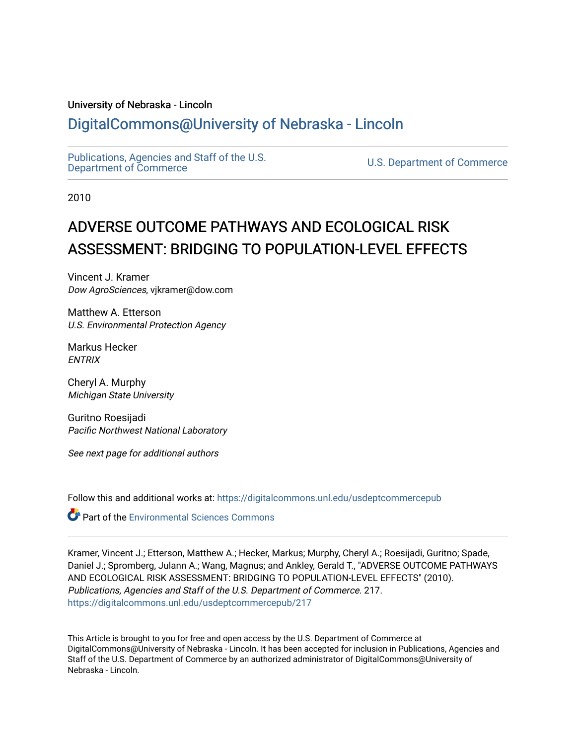## University of Nebraska - Lincoln [DigitalCommons@University of Nebraska - Lincoln](https://digitalcommons.unl.edu/)

[Publications, Agencies and Staff of the U.S.](https://digitalcommons.unl.edu/usdeptcommercepub)

U.S. [Department of Commerce](https://digitalcommons.unl.edu/usdeptcommercepub)

2010

# ADVERSE OUTCOME PATHWAYS AND ECOLOGICAL RISK ASSESSMENT: BRIDGING TO POPULATION-LEVEL EFFECTS

Vincent J. Kramer Dow AgroSciences, vjkramer@dow.com

Matthew A. Etterson U.S. Environmental Protection Agency

Markus Hecker **FNTRIX** 

Cheryl A. Murphy Michigan State University

Guritno Roesijadi Pacific Northwest National Laboratory

See next page for additional authors

Follow this and additional works at: [https://digitalcommons.unl.edu/usdeptcommercepub](https://digitalcommons.unl.edu/usdeptcommercepub?utm_source=digitalcommons.unl.edu%2Fusdeptcommercepub%2F217&utm_medium=PDF&utm_campaign=PDFCoverPages)

**C** Part of the [Environmental Sciences Commons](http://network.bepress.com/hgg/discipline/167?utm_source=digitalcommons.unl.edu%2Fusdeptcommercepub%2F217&utm_medium=PDF&utm_campaign=PDFCoverPages)

Kramer, Vincent J.; Etterson, Matthew A.; Hecker, Markus; Murphy, Cheryl A.; Roesijadi, Guritno; Spade, Daniel J.; Spromberg, Julann A.; Wang, Magnus; and Ankley, Gerald T., "ADVERSE OUTCOME PATHWAYS AND ECOLOGICAL RISK ASSESSMENT: BRIDGING TO POPULATION-LEVEL EFFECTS" (2010). Publications, Agencies and Staff of the U.S. Department of Commerce. 217. [https://digitalcommons.unl.edu/usdeptcommercepub/217](https://digitalcommons.unl.edu/usdeptcommercepub/217?utm_source=digitalcommons.unl.edu%2Fusdeptcommercepub%2F217&utm_medium=PDF&utm_campaign=PDFCoverPages) 

This Article is brought to you for free and open access by the U.S. Department of Commerce at DigitalCommons@University of Nebraska - Lincoln. It has been accepted for inclusion in Publications, Agencies and Staff of the U.S. Department of Commerce by an authorized administrator of DigitalCommons@University of Nebraska - Lincoln.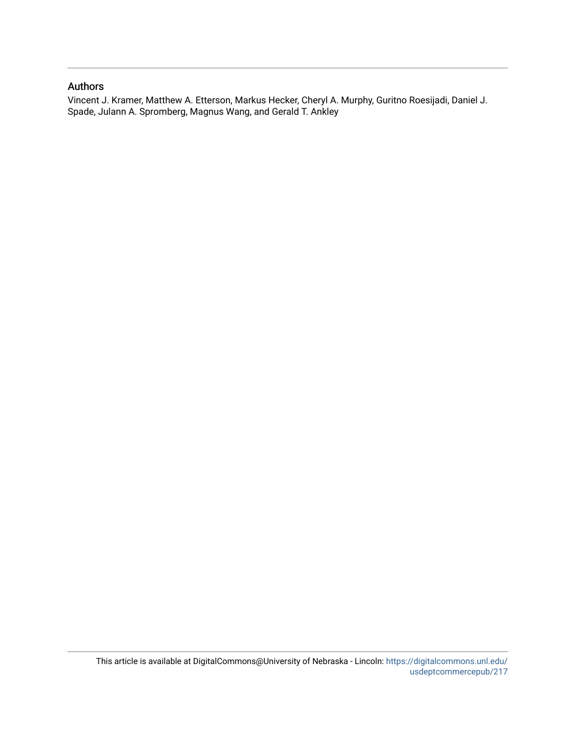## Authors

Vincent J. Kramer, Matthew A. Etterson, Markus Hecker, Cheryl A. Murphy, Guritno Roesijadi, Daniel J. Spade, Julann A. Spromberg, Magnus Wang, and Gerald T. Ankley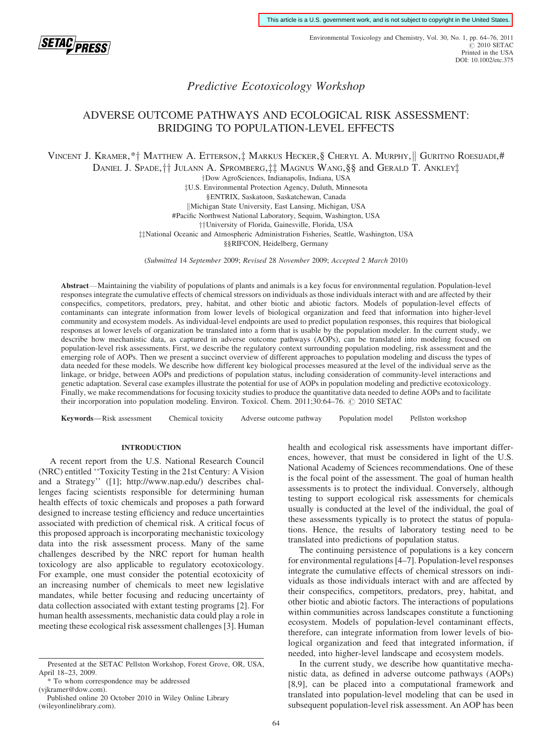

### Predictive Ecotoxicology Workshop

## ADVERSE OUTCOME PATHWAYS AND ECOLOGICAL RISK ASSESSMENT: BRIDGING TO POPULATION-LEVEL EFFECTS

VINCENT J. KRAMER,\*† MATTHEW A. ETTERSON,‡ MARKUS HECKER, § CHERYL A. MURPHY, || GURITNO ROESIJADI,#

DANIEL J. SPADE,  $\dagger \dagger$  JULANN A. SPROMBERG,  $\ddagger \ddagger$  MAGNUS WANG, §§ and GERALD T. ANKLEY $\dagger$ 

yDow AgroSciences, Indianapolis, Indiana, USA

zU.S. Environmental Protection Agency, Duluth, Minnesota

§ENTRIX, Saskatoon, Saskatchewan, Canada

||Michigan State University, East Lansing, Michigan, USA

#Pacific Northwest National Laboratory, Sequim, Washington, USA

<sup>††</sup>University of Florida, Gainesville, Florida, USA

##National Oceanic and Atmospheric Administration Fisheries, Seattle, Washington, USA

§§RIFCON, Heidelberg, Germany

(Submitted 14 September 2009; Revised 28 November 2009; Accepted 2 March 2010)

Abstract*—*Maintaining the viability of populations of plants and animals is a key focus for environmental regulation. Population-level responses integrate the cumulative effects of chemical stressors on individuals as those individuals interact with and are affected by their conspecifics, competitors, predators, prey, habitat, and other biotic and abiotic factors. Models of population-level effects of contaminants can integrate information from lower levels of biological organization and feed that information into higher-level community and ecosystem models. As individual-level endpoints are used to predict population responses, this requires that biological responses at lower levels of organization be translated into a form that is usable by the population modeler. In the current study, we describe how mechanistic data, as captured in adverse outcome pathways (AOPs), can be translated into modeling focused on population-level risk assessments. First, we describe the regulatory context surrounding population modeling, risk assessment and the emerging role of AOPs. Then we present a succinct overview of different approaches to population modeling and discuss the types of data needed for these models. We describe how different key biological processes measured at the level of the individual serve as the linkage, or bridge, between AOPs and predictions of population status, including consideration of community-level interactions and genetic adaptation. Several case examples illustrate the potential for use of AOPs in population modeling and predictive ecotoxicology. Finally, we make recommendations for focusing toxicity studies to produce the quantitative data needed to define AOPs and to facilitate their incorporation into population modeling. Environ. Toxicol. Chem. 2011;30:64-76.  $\odot$  2010 SETAC

Keywords—Risk assessment Chemical toxicity Adverse outcome pathway Population model Pellston workshop

#### INTRODUCTION

A recent report from the U.S. National Research Council (NRC) entitled ''Toxicity Testing in the 21st Century: A Vision and a Strategy'' ([1]; http://www.nap.edu/) describes challenges facing scientists responsible for determining human health effects of toxic chemicals and proposes a path forward designed to increase testing efficiency and reduce uncertainties associated with prediction of chemical risk. A critical focus of this proposed approach is incorporating mechanistic toxicology data into the risk assessment process. Many of the same challenges described by the NRC report for human health toxicology are also applicable to regulatory ecotoxicology. For example, one must consider the potential ecotoxicity of an increasing number of chemicals to meet new legislative mandates, while better focusing and reducing uncertainty of data collection associated with extant testing programs [2]. For human health assessments, mechanistic data could play a role in meeting these ecological risk assessment challenges [3]. Human

health and ecological risk assessments have important differences, however, that must be considered in light of the U.S. National Academy of Sciences recommendations. One of these is the focal point of the assessment. The goal of human health assessments is to protect the individual. Conversely, although testing to support ecological risk assessments for chemicals usually is conducted at the level of the individual, the goal of these assessments typically is to protect the status of populations. Hence, the results of laboratory testing need to be translated into predictions of population status.

The continuing persistence of populations is a key concern for environmental regulations [4–7]. Population-level responses integrate the cumulative effects of chemical stressors on individuals as those individuals interact with and are affected by their conspecifics, competitors, predators, prey, habitat, and other biotic and abiotic factors. The interactions of populations within communities across landscapes constitute a functioning ecosystem. Models of population-level contaminant effects, therefore, can integrate information from lower levels of biological organization and feed that integrated information, if needed, into higher-level landscape and ecosystem models.

In the current study, we describe how quantitative mechanistic data, as defined in adverse outcome pathways (AOPs) [8,9], can be placed into a computational framework and translated into population-level modeling that can be used in subsequent population-level risk assessment. An AOP has been

Presented at the SETAC Pellston Workshop, Forest Grove, OR, USA, April 18–23, 2009.

<sup>\*</sup> To whom correspondence may be addressed (vjkramer@dow.com).

Published online 20 October 2010 in Wiley Online Library (wileyonlinelibrary.com).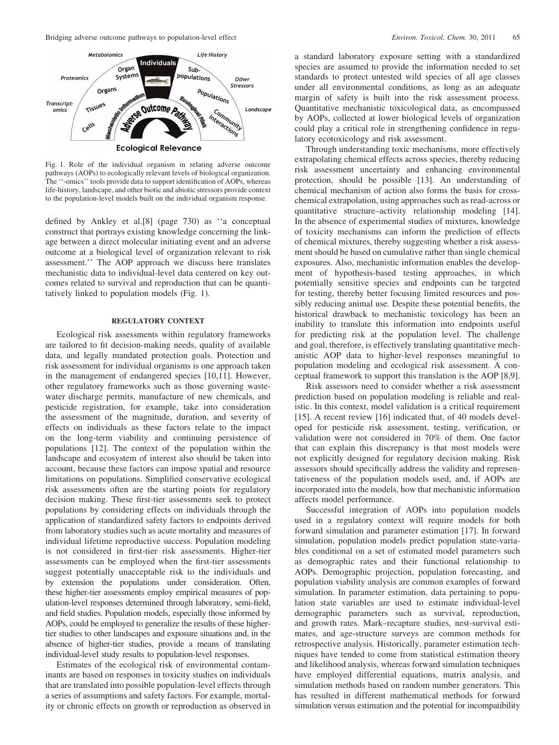Bridging adverse outcome pathways to population-level effect Environ. Toxicol. Chem. 30, 2011 65



Fig. 1. Role of the individual organism in relating adverse outcome pathways (AOPs) to ecologically relevant levels of biological organization. The ''-omics'' tools provide data to support identification of AOPs, whereas life-history, landscape, and other biotic and abiotic stressors provide context to the population-level models built on the individual organism response.

defined by Ankley et al.[8] (page 730) as ''a conceptual construct that portrays existing knowledge concerning the linkage between a direct molecular initiating event and an adverse outcome at a biological level of organization relevant to risk assessment.'' The AOP approach we discuss here translates mechanistic data to individual-level data centered on key outcomes related to survival and reproduction that can be quantitatively linked to population models (Fig. 1).

#### REGULATORY CONTEXT

Ecological risk assessments within regulatory frameworks are tailored to fit decision-making needs, quality of available data, and legally mandated protection goals. Protection and risk assessment for individual organisms is one approach taken in the management of endangered species [10,11]. However, other regulatory frameworks such as those governing wastewater discharge permits, manufacture of new chemicals, and pesticide registration, for example, take into consideration the assessment of the magnitude, duration, and severity of effects on individuals as these factors relate to the impact on the long-term viability and continuing persistence of populations [12]. The context of the population within the landscape and ecosystem of interest also should be taken into account, because these factors can impose spatial and resource limitations on populations. Simplified conservative ecological risk assessments often are the starting points for regulatory decision making. These first-tier assessments seek to protect populations by considering effects on individuals through the application of standardized safety factors to endpoints derived from laboratory studies such as acute mortality and measures of individual lifetime reproductive success. Population modeling is not considered in first-tier risk assessments. Higher-tier assessments can be employed when the first-tier assessments suggest potentially unacceptable risk to the individuals and by extension the populations under consideration. Often, these higher-tier assessments employ empirical measures of population-level responses determined through laboratory, semi-field, and field studies. Population models, especially those informed by AOPs, could be employed to generalize the results of these highertier studies to other landscapes and exposure situations and, in the absence of higher-tier studies, provide a means of translating individual-level study results to population-level responses.

Estimates of the ecological risk of environmental contaminants are based on responses in toxicity studies on individuals that are translated into possible population-level effects through a series of assumptions and safety factors. For example, mortality or chronic effects on growth or reproduction as observed in a standard laboratory exposure setting with a standardized species are assumed to provide the information needed to set standards to protect untested wild species of all age classes under all environmental conditions, as long as an adequate margin of safety is built into the risk assessment process. Quantitative mechanistic toxicological data, as encompassed by AOPs, collected at lower biological levels of organization could play a critical role in strengthening confidence in regulatory ecotoxicology and risk assessment.

Through understanding toxic mechanisms, more effectively extrapolating chemical effects across species, thereby reducing risk assessment uncertainty and enhancing environmental protection, should be possible [13]. An understanding of chemical mechanism of action also forms the basis for crosschemical extrapolation, using approaches such as read-across or quantitative structure–activity relationship modeling [14]. In the absence of experimental studies of mixtures, knowledge of toxicity mechanisms can inform the prediction of effects of chemical mixtures, thereby suggesting whether a risk assessment should be based on cumulative rather than single chemical exposures. Also, mechanistic information enables the development of hypothesis-based testing approaches, in which potentially sensitive species and endpoints can be targeted for testing, thereby better focusing limited resources and possibly reducing animal use. Despite these potential benefits, the historical drawback to mechanistic toxicology has been an inability to translate this information into endpoints useful for predicting risk at the population level. The challenge and goal, therefore, is effectively translating quantitative mechanistic AOP data to higher-level responses meaningful to population modeling and ecological risk assessment. A conceptual framework to support this translation is the AOP [8,9].

Risk assessors need to consider whether a risk assessment prediction based on population modeling is reliable and realistic. In this context, model validation is a critical requirement [15]. A recent review [16] indicated that, of 40 models developed for pesticide risk assessment, testing, verification, or validation were not considered in 70% of them. One factor that can explain this discrepancy is that most models were not explicitly designed for regulatory decision making. Risk assessors should specifically address the validity and representativeness of the population models used, and, if AOPs are incorporated into the models, how that mechanistic information affects model performance.

Successful integration of AOPs into population models used in a regulatory context will require models for both forward simulation and parameter estimation [17]. In forward simulation, population models predict population state-variables conditional on a set of estimated model parameters such as demographic rates and their functional relationship to AOPs. Demographic projection, population forecasting, and population viability analysis are common examples of forward simulation. In parameter estimation, data pertaining to population state variables are used to estimate individual-level demographic parameters such as survival, reproduction, and growth rates. Mark–recapture studies, nest-survival estimates, and age-structure surveys are common methods for retrospective analysis. Historically, parameter estimation techniques have tended to come from statistical estimation theory and likelihood analysis, whereas forward simulation techniques have employed differential equations, matrix analysis, and simulation methods based on random number generators. This has resulted in different mathematical methods for forward simulation versus estimation and the potential for incompatibility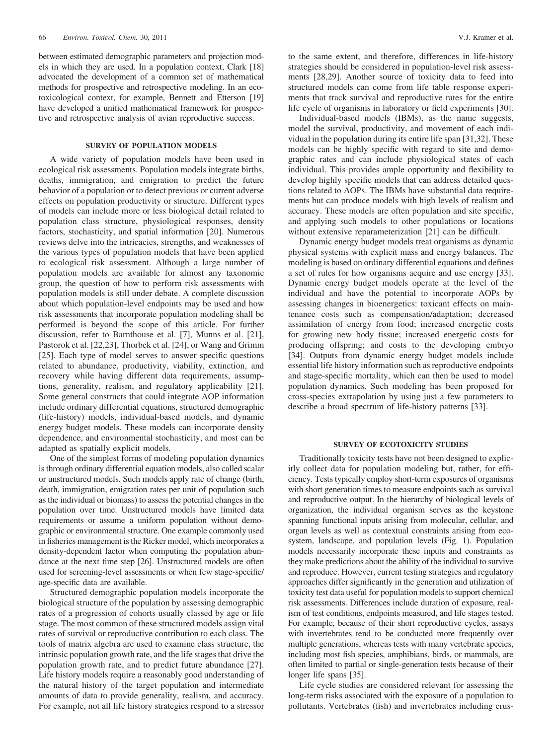between estimated demographic parameters and projection models in which they are used. In a population context, Clark [18] advocated the development of a common set of mathematical methods for prospective and retrospective modeling. In an ecotoxicological context, for example, Bennett and Etterson [19] have developed a unified mathematical framework for prospective and retrospective analysis of avian reproductive success.

#### SURVEY OF POPULATION MODELS

A wide variety of population models have been used in ecological risk assessments. Population models integrate births, deaths, immigration, and emigration to predict the future behavior of a population or to detect previous or current adverse effects on population productivity or structure. Different types of models can include more or less biological detail related to population class structure, physiological responses, density factors, stochasticity, and spatial information [20]. Numerous reviews delve into the intricacies, strengths, and weaknesses of the various types of population models that have been applied to ecological risk assessment. Although a large number of population models are available for almost any taxonomic group, the question of how to perform risk assessments with population models is still under debate. A complete discussion about which population-level endpoints may be used and how risk assessments that incorporate population modeling shall be performed is beyond the scope of this article. For further discussion, refer to Barnthouse et al. [7], Munns et al. [21], Pastorok et al. [22,23], Thorbek et al. [24], or Wang and Grimm [25]. Each type of model serves to answer specific questions related to abundance, productivity, viability, extinction, and recovery while having different data requirements, assumptions, generality, realism, and regulatory applicability [21]. Some general constructs that could integrate AOP information include ordinary differential equations, structured demographic (life-history) models, individual-based models, and dynamic energy budget models. These models can incorporate density dependence, and environmental stochasticity, and most can be adapted as spatially explicit models.

One of the simplest forms of modeling population dynamics is through ordinary differential equation models, also called scalar or unstructured models. Such models apply rate of change (birth, death, immigration, emigration rates per unit of population such as the individual or biomass) to assess the potential changes in the population over time. Unstructured models have limited data requirements or assume a uniform population without demographic or environmental structure. One example commonly used in fisheries management is the Ricker model, which incorporates a density-dependent factor when computing the population abundance at the next time step [26]. Unstructured models are often used for screening-level assessments or when few stage-specific/ age-specific data are available.

Structured demographic population models incorporate the biological structure of the population by assessing demographic rates of a progression of cohorts usually classed by age or life stage. The most common of these structured models assign vital rates of survival or reproductive contribution to each class. The tools of matrix algebra are used to examine class structure, the intrinsic population growth rate, and the life stages that drive the population growth rate, and to predict future abundance [27]. Life history models require a reasonably good understanding of the natural history of the target population and intermediate amounts of data to provide generality, realism, and accuracy. For example, not all life history strategies respond to a stressor

to the same extent, and therefore, differences in life-history strategies should be considered in population-level risk assessments [28,29]. Another source of toxicity data to feed into structured models can come from life table response experiments that track survival and reproductive rates for the entire life cycle of organisms in laboratory or field experiments [30].

Individual-based models (IBMs), as the name suggests, model the survival, productivity, and movement of each individual in the population during its entire life span [31,32]. These models can be highly specific with regard to site and demographic rates and can include physiological states of each individual. This provides ample opportunity and flexibility to develop highly specific models that can address detailed questions related to AOPs. The IBMs have substantial data requirements but can produce models with high levels of realism and accuracy. These models are often population and site specific, and applying such models to other populations or locations without extensive reparameterization [21] can be difficult.

Dynamic energy budget models treat organisms as dynamic physical systems with explicit mass and energy balances. The modeling is based on ordinary differential equations and defines a set of rules for how organisms acquire and use energy [33]. Dynamic energy budget models operate at the level of the individual and have the potential to incorporate AOPs by assessing changes in bioenergetics: toxicant effects on maintenance costs such as compensation/adaptation; decreased assimilation of energy from food; increased energetic costs for growing new body tissue; increased energetic costs for producing offspring; and costs to the developing embryo [34]. Outputs from dynamic energy budget models include essential life history information such as reproductive endpoints and stage-specific mortality, which can then be used to model population dynamics. Such modeling has been proposed for cross-species extrapolation by using just a few parameters to describe a broad spectrum of life-history patterns [33].

#### SURVEY OF ECOTOXICITY STUDIES

Traditionally toxicity tests have not been designed to explicitly collect data for population modeling but, rather, for efficiency. Tests typically employ short-term exposures of organisms with short generation times to measure endpoints such as survival and reproductive output. In the hierarchy of biological levels of organization, the individual organism serves as the keystone spanning functional inputs arising from molecular, cellular, and organ levels as well as contextual constraints arising from ecosystem, landscape, and population levels (Fig. 1). Population models necessarily incorporate these inputs and constraints as they make predictions about the ability of the individual to survive and reproduce. However, current testing strategies and regulatory approaches differ significantly in the generation and utilization of toxicity test data useful for population models to support chemical risk assessments. Differences include duration of exposure, realism of test conditions, endpoints measured, and life stages tested. For example, because of their short reproductive cycles, assays with invertebrates tend to be conducted more frequently over multiple generations, whereas tests with many vertebrate species, including most fish species, amphibians, birds, or mammals, are often limited to partial or single-generation tests because of their longer life spans [35].

Life cycle studies are considered relevant for assessing the long-term risks associated with the exposure of a population to pollutants. Vertebrates (fish) and invertebrates including crus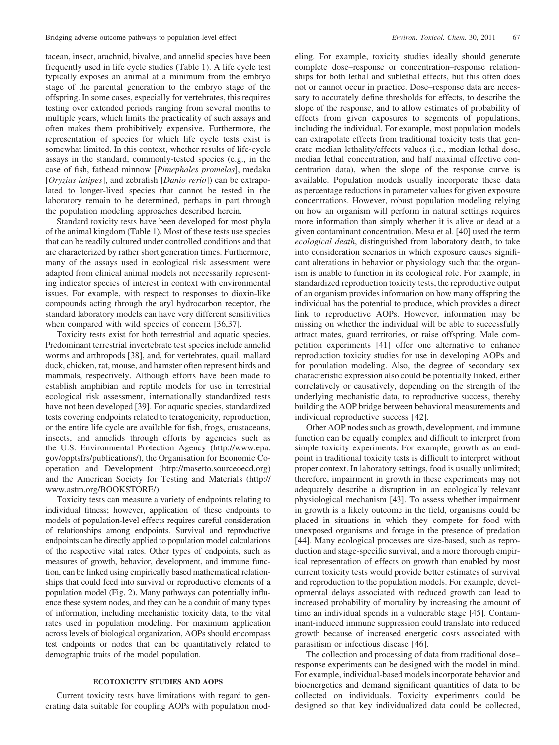tacean, insect, arachnid, bivalve, and annelid species have been frequently used in life cycle studies (Table 1). A life cycle test typically exposes an animal at a minimum from the embryo stage of the parental generation to the embryo stage of the offspring. In some cases, especially for vertebrates, this requires testing over extended periods ranging from several months to multiple years, which limits the practicality of such assays and often makes them prohibitively expensive. Furthermore, the representation of species for which life cycle tests exist is somewhat limited. In this context, whether results of life-cycle assays in the standard, commonly-tested species (e.g., in the case of fish, fathead minnow [Pimephales promelas], medaka [Oryzias latipes], and zebrafish [Danio rerio]) can be extrapolated to longer-lived species that cannot be tested in the laboratory remain to be determined, perhaps in part through the population modeling approaches described herein.

Standard toxicity tests have been developed for most phyla of the animal kingdom (Table 1). Most of these tests use species that can be readily cultured under controlled conditions and that are characterized by rather short generation times. Furthermore, many of the assays used in ecological risk assessment were adapted from clinical animal models not necessarily representing indicator species of interest in context with environmental issues. For example, with respect to responses to dioxin-like compounds acting through the aryl hydrocarbon receptor, the standard laboratory models can have very different sensitivities when compared with wild species of concern [36,37].

Toxicity tests exist for both terrestrial and aquatic species. Predominant terrestrial invertebrate test species include annelid worms and arthropods [38], and, for vertebrates, quail, mallard duck, chicken, rat, mouse, and hamster often represent birds and mammals, respectively. Although efforts have been made to establish amphibian and reptile models for use in terrestrial ecological risk assessment, internationally standardized tests have not been developed [39]. For aquatic species, standardized tests covering endpoints related to teratogenicity, reproduction, or the entire life cycle are available for fish, frogs, crustaceans, insects, and annelids through efforts by agencies such as the U.S. Environmental Protection Agency (http://www.epa. gov/opptsfrs/publications/), the Organisation for Economic Cooperation and Development (http://masetto.sourceoecd.org) and the American Society for Testing and Materials (http:// www.astm.org/BOOKSTORE/).

Toxicity tests can measure a variety of endpoints relating to individual fitness; however, application of these endpoints to models of population-level effects requires careful consideration of relationships among endpoints. Survival and reproductive endpoints can be directly applied to population model calculations of the respective vital rates. Other types of endpoints, such as measures of growth, behavior, development, and immune function, can be linked using empirically based mathematical relationships that could feed into survival or reproductive elements of a population model (Fig. 2). Many pathways can potentially influence these system nodes, and they can be a conduit of many types of information, including mechanistic toxicity data, to the vital rates used in population modeling. For maximum application across levels of biological organization, AOPs should encompass test endpoints or nodes that can be quantitatively related to demographic traits of the model population.

#### ECOTOXICITY STUDIES AND AOPS

Current toxicity tests have limitations with regard to generating data suitable for coupling AOPs with population modeling. For example, toxicity studies ideally should generate complete dose–response or concentration–response relationships for both lethal and sublethal effects, but this often does not or cannot occur in practice. Dose–response data are necessary to accurately define thresholds for effects, to describe the slope of the response, and to allow estimates of probability of effects from given exposures to segments of populations, including the individual. For example, most population models can extrapolate effects from traditional toxicity tests that generate median lethality/effects values (i.e., median lethal dose, median lethal concentration, and half maximal effective concentration data), when the slope of the response curve is available. Population models usually incorporate these data as percentage reductions in parameter values for given exposure concentrations. However, robust population modeling relying on how an organism will perform in natural settings requires more information than simply whether it is alive or dead at a given contaminant concentration. Mesa et al. [40] used the term ecological death, distinguished from laboratory death, to take into consideration scenarios in which exposure causes significant alterations in behavior or physiology such that the organism is unable to function in its ecological role. For example, in standardized reproduction toxicity tests, the reproductive output of an organism provides information on how many offspring the individual has the potential to produce, which provides a direct link to reproductive AOPs. However, information may be missing on whether the individual will be able to successfully attract mates, guard territories, or raise offspring. Male competition experiments [41] offer one alternative to enhance reproduction toxicity studies for use in developing AOPs and for population modeling. Also, the degree of secondary sex characteristic expression also could be potentially linked, either correlatively or causatively, depending on the strength of the underlying mechanistic data, to reproductive success, thereby building the AOP bridge between behavioral measurements and individual reproductive success [42].

Other AOP nodes such as growth, development, and immune function can be equally complex and difficult to interpret from simple toxicity experiments. For example, growth as an endpoint in traditional toxicity tests is difficult to interpret without proper context. In laboratory settings, food is usually unlimited; therefore, impairment in growth in these experiments may not adequately describe a disruption in an ecologically relevant physiological mechanism [43]. To assess whether impairment in growth is a likely outcome in the field, organisms could be placed in situations in which they compete for food with unexposed organisms and forage in the presence of predation [44]. Many ecological processes are size-based, such as reproduction and stage-specific survival, and a more thorough empirical representation of effects on growth than enabled by most current toxicity tests would provide better estimates of survival and reproduction to the population models. For example, developmental delays associated with reduced growth can lead to increased probability of mortality by increasing the amount of time an individual spends in a vulnerable stage [45]. Contaminant-induced immune suppression could translate into reduced growth because of increased energetic costs associated with parasitism or infectious disease [46].

The collection and processing of data from traditional dose– response experiments can be designed with the model in mind. For example, individual-based models incorporate behavior and bioenergetics and demand significant quantities of data to be collected on individuals. Toxicity experiments could be designed so that key individualized data could be collected,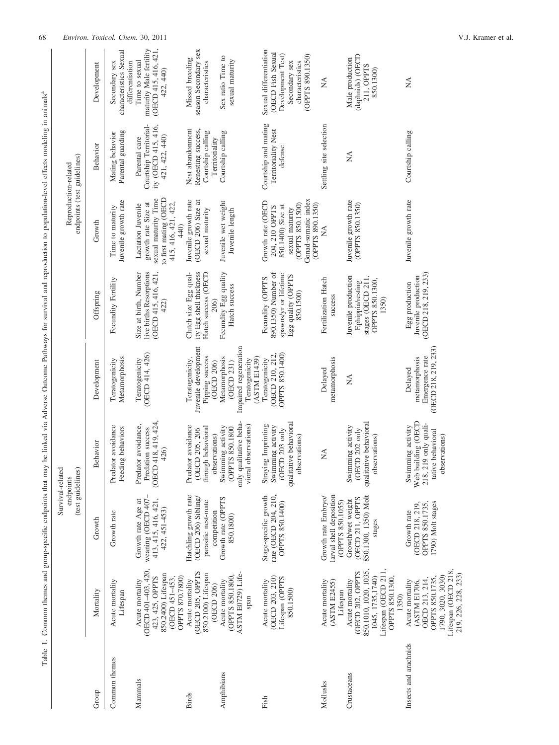|                       |                                                                                                                                         | Survival-related<br>(test guidelines)<br>endpoints                                 |                                                                                                       |                                                                                        |                                                                                                     | Reproduction-related                                                                                                                       | endpoints (test guidelines)                                                      |                                                                                                                          |
|-----------------------|-----------------------------------------------------------------------------------------------------------------------------------------|------------------------------------------------------------------------------------|-------------------------------------------------------------------------------------------------------|----------------------------------------------------------------------------------------|-----------------------------------------------------------------------------------------------------|--------------------------------------------------------------------------------------------------------------------------------------------|----------------------------------------------------------------------------------|--------------------------------------------------------------------------------------------------------------------------|
| Group                 | Mortality                                                                                                                               | Growth                                                                             | Behavior                                                                                              | Development                                                                            | Offspring                                                                                           | Growth                                                                                                                                     | Behavior                                                                         | Development                                                                                                              |
| Common themes         | Acute mortality<br>Lifespan                                                                                                             | Growth rate                                                                        | Predator avoidance<br>Feeding behaviors                                                               | Metamorphosis<br>Teratogenicity                                                        | Fecundity Fertility                                                                                 | Juvenile growth rate<br>Time to maturity                                                                                                   | Parental guarding<br>Mating behavior                                             | characteristics Sexual<br>Secondary sex<br>differentiation                                                               |
| Mammals               | (OECD 401-403, 420,<br>850.2400) Lifespan<br>423, 425, OPPTS<br>OPPTS 870.7800)<br>(OECD 451-453,<br>Acute mortality                    | Growth rate Age at<br>413, 415, 416, 421,<br>weaning (OECD 407<br>422, 451-453)    | (OECD 418, 419, 424,<br>Predator avoidance,<br>Predation success<br>426)                              | (OECD 414, 426)<br>Teratogenicity                                                      | live births Resorptions<br>Size at birth, Number<br>(OECD 415, 416, 421,<br>422)                    | sexual maturity Time<br>to first mating (OECD<br>growth rate Size at<br>415, 416, 421, 422,<br>Lactation Juvenile<br>440                   | Courtship Territorial-<br>ity (OECD 415, 416,<br>421, 422, 440)<br>Parental care | maturity Male fertility<br>(OECD 415, 416, 421,<br>Time to sexual<br>422, 440)                                           |
| <b>Birds</b>          | (OECD 205, OPPTS<br>850.2100) Lifespan<br>Acute mortality<br>(OECD 206)                                                                 | Hatchling growth rate<br>(OECD 206) Sibling/<br>parasitic nest-mate<br>competition | Predator avoidance<br>through behavioral<br>(OECD 205, 206<br>observations)                           | Juvenile development<br>Pipping success<br>Teratogenicity,<br><b>OECD 206</b>          | ity Egg shell thickness<br>Hatch success (OECD<br>Clutch size Egg qual-<br>206)                     | Juvenile growth rate<br>(OECD 206) Size at<br>sexual maturity                                                                              | Nest abandonment<br>Renesting success,<br>Courtship calling<br>Territoriality    | season Secondary sex<br>Missed breeding<br>characteristics                                                               |
| Amphibians            | ASTM E0729) Life-<br>(OPPTS 850.1800,<br>Acute mortality<br>span                                                                        | Growth rate (OPPTS<br>850.1800)                                                    | only qualitative beha-<br>l observations)<br>Swimming activity<br>(OPPTS 850.1800<br>vioral           | Impaired regeneration<br>Metamorphosis<br>(ASTM E1439)<br>Teratogenicity<br>(OECD 231) | Fecundity Egg quality<br>Hatch success                                                              | Juvenile wet weight<br>Juvenile length                                                                                                     | Courtship calling                                                                | Sex ratio Time to<br>sexual maturity                                                                                     |
| Fish                  | (OECD 203, 210)<br>Lifespan (OPPTS<br>Acute mortality<br>850.1500)                                                                      | rate (OECD 204, 210,<br>Stage-specific growth<br>OPPTS 850.1400)                   | qualitative behavioral<br>Straying Imprinting<br>Swimming activity<br>(OECD 203 only<br>observations) | OPPTS 850.1400)<br>(OECD 210, 212,<br>Teratogenicity                                   | 890.1350) Number of<br>spawns/yr or lifetime<br>Egg quality (OPPTS<br>Fecundity (OPPTS<br>850.1500) | Gonad-somatic index<br>Growth rate (OECD<br>(OPPTS 850.1500)<br>(OPPTS 890.1350)<br>850.1400) Size at<br>204, 210 OPPTS<br>sexual maturity | Courtship and mating<br><b>Territoriality Nest</b><br>defense                    | Sexual differentiation<br>(OECD Fish Sexual<br>Development Test)<br>(OPPTS 890.1350)<br>characteristics<br>Secondary sex |
| Mollusks              | Acute mortality<br>(ASTM E2455)<br>Lifespan                                                                                             | larval shell deposition<br>Growth rate Embryo/<br>(OPPTS 850.1055)                 | Ź                                                                                                     | metamorphosis<br>Delayed                                                               | Fertilization Hatch<br>success                                                                      | $\mathbb{X}^{\mathcal{A}}$                                                                                                                 | Settling site selection                                                          | $\mathbb{A}^{\mathcal{A}}$                                                                                               |
| Crustaceans           | Lifespan (OECD 211,<br>850.1010, 1020, 1035.<br>(OECD 202, OPPTS<br>1045, 1735, 1740)<br>OPPTS 850.1300,<br>Acute mortality<br>1350)    | 850.1300, 1350) Molt<br>(OECD 211, OPPTS<br>Growth/wet weight<br>stages            | qualitative behavioral<br>Swimming activity<br>(OECD 202 only<br>observations)                        | $\lessapprox$                                                                          | Juvenile production<br>Ephippia/resting<br>stages (OECD 211,<br>OPPTS 850.1300,<br>1350)            | Juvenile growth rate<br>(OPPTS 850.1350)                                                                                                   | $\leq$                                                                           | (daphnids) (OECD<br>Male production<br>211, OPPTS<br>850.1300)                                                           |
| Insects and arachnids | Lifespan (OECD 218,<br>219, 226, 228, 233)<br>1790, 3020, 3030)<br>OPPTS 850.1735,<br>OECD 213, 214,<br>Acute mortality<br>(ASTM E1706, | 1790) Molt stages<br>OPPTS 850.1735,<br>(OECD 218, 219,<br>Growth rate             | Web building (OECD<br>218, 219 only quali-<br>Swimming activity<br>tative behavioral<br>observations) | (OECD 218, 219, 233)<br>Emergence rate<br>metamorphosis<br>Delayed                     | Juvenile production<br>(OECD 218, 219, 233)<br>Egg production                                       | Juvenile growth rate                                                                                                                       | Courtship calling                                                                | $\lessapprox$                                                                                                            |

Table 1. Common themes and group-specific endpoints that may be linked via Adverse Outcome Pathways for survival and reproduction to population-level effects modeling in animals<sup>a</sup> Table 1. Common themes and group-specific endpoints that may be linked via Adverse Outcome Pathways for survival and reproduction to population-level effects modeling in animalsa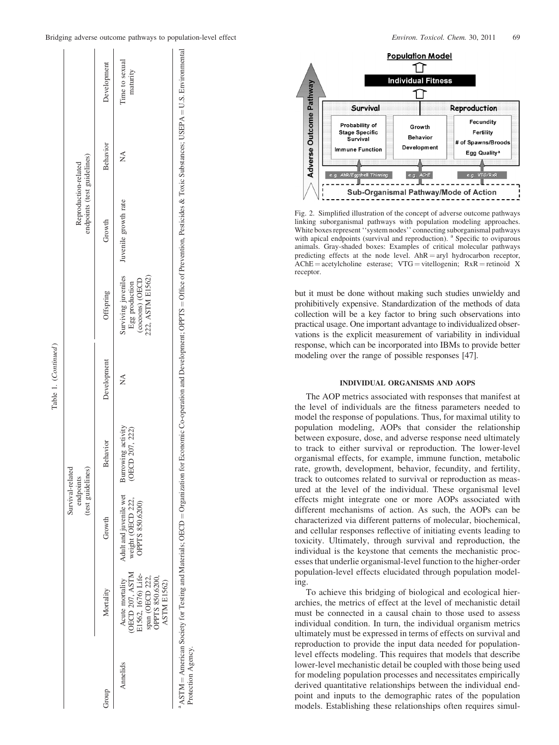



Fig. 2. Simplified illustration of the concept of adverse outcome pathways linking suborganismal pathways with population modeling approaches. White boxes represent ''system nodes'' connecting suborganismal pathways with apical endpoints (survival and reproduction). <sup>a</sup> Specific to oviparous animals. Gray-shaded boxes: Examples of critical molecular pathways predicting effects at the node level.  $AhR = aryl$  hydrocarbon receptor,  $AChE = acetylcholine$  esterase;  $VTG = vitellogenin$ ;  $RxR = retinoid X$ receptor.

but it must be done without making such studies unwieldy and prohibitively expensive. Standardization of the methods of data collection will be a key factor to bring such observations into practical usage. One important advantage to individualized observations is the explicit measurement of variability in individual response, which can be incorporated into IBMs to provide better modeling over the range of possible responses [47].

#### INDIVIDUAL ORGANISMS AND AOPS

The AOP metrics associated with responses that manifest at the level of individuals are the fitness parameters needed to model the response of populations. Thus, for maximal utility to population modeling, AOPs that consider the relationship between exposure, dose, and adverse response need ultimately to track to either survival or reproduction. The lower-level organismal effects, for example, immune function, metabolic rate, growth, development, behavior, fecundity, and fertility, track to outcomes related to survival or reproduction as measured at the level of the individual. These organismal level effects might integrate one or more AOPs associated with different mechanisms of action. As such, the AOPs can be characterized via different patterns of molecular, biochemical, and cellular responses reflective of initiating events leading to toxicity. Ultimately, through survival and reproduction, the individual is the keystone that cements the mechanistic processes that underlie organismal-level function to the higher-order population-level effects elucidated through population modeling.

To achieve this bridging of biological and ecological hierarchies, the metrics of effect at the level of mechanistic detail must be connected in a causal chain to those used to assess individual condition. In turn, the individual organism metrics ultimately must be expressed in terms of effects on survival and reproduction to provide the input data needed for populationlevel effects modeling. This requires that models that describe lower-level mechanistic detail be coupled with those being used for modeling population processes and necessitates empirically derived quantitative relationships between the individual endpoint and inputs to the demographic rates of the population models. Establishing these relationships often requires simul-

Table 1. (Continued) Table 1. (Continued )

(test guidelines) Survival-related endpoints

endpoints (test guidelines) Reproduction-related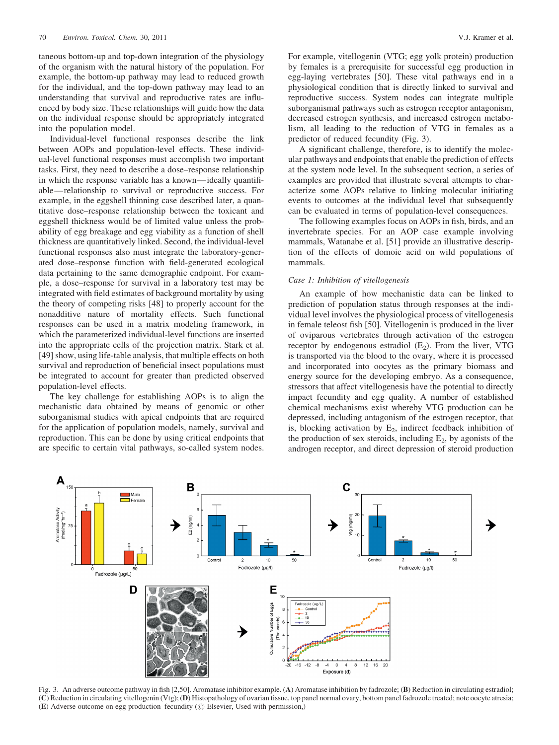taneous bottom-up and top-down integration of the physiology of the organism with the natural history of the population. For example, the bottom-up pathway may lead to reduced growth for the individual, and the top-down pathway may lead to an understanding that survival and reproductive rates are influenced by body size. These relationships will guide how the data on the individual response should be appropriately integrated into the population model.

Individual-level functional responses describe the link between AOPs and population-level effects. These individual-level functional responses must accomplish two important tasks. First, they need to describe a dose–response relationship in which the response variable has a known—ideally quantifiable—relationship to survival or reproductive success. For example, in the eggshell thinning case described later, a quantitative dose–response relationship between the toxicant and eggshell thickness would be of limited value unless the probability of egg breakage and egg viability as a function of shell thickness are quantitatively linked. Second, the individual-level functional responses also must integrate the laboratory-generated dose–response function with field-generated ecological data pertaining to the same demographic endpoint. For example, a dose–response for survival in a laboratory test may be integrated with field estimates of background mortality by using the theory of competing risks [48] to properly account for the nonadditive nature of mortality effects. Such functional responses can be used in a matrix modeling framework, in which the parameterized individual-level functions are inserted into the appropriate cells of the projection matrix. Stark et al. [49] show, using life-table analysis, that multiple effects on both survival and reproduction of beneficial insect populations must be integrated to account for greater than predicted observed population-level effects.

The key challenge for establishing AOPs is to align the mechanistic data obtained by means of genomic or other suborganismal studies with apical endpoints that are required for the application of population models, namely, survival and reproduction. This can be done by using critical endpoints that are specific to certain vital pathways, so-called system nodes.

For example, vitellogenin (VTG; egg yolk protein) production by females is a prerequisite for successful egg production in egg-laying vertebrates [50]. These vital pathways end in a physiological condition that is directly linked to survival and reproductive success. System nodes can integrate multiple suborganismal pathways such as estrogen receptor antagonism, decreased estrogen synthesis, and increased estrogen metabolism, all leading to the reduction of VTG in females as a predictor of reduced fecundity (Fig. 3).

A significant challenge, therefore, is to identify the molecular pathways and endpoints that enable the prediction of effects at the system node level. In the subsequent section, a series of examples are provided that illustrate several attempts to characterize some AOPs relative to linking molecular initiating events to outcomes at the individual level that subsequently can be evaluated in terms of population-level consequences.

The following examples focus on AOPs in fish, birds, and an invertebrate species. For an AOP case example involving mammals, Watanabe et al. [51] provide an illustrative description of the effects of domoic acid on wild populations of mammals.

#### Case 1: Inhibition of vitellogenesis

An example of how mechanistic data can be linked to prediction of population status through responses at the individual level involves the physiological process of vitellogenesis in female teleost fish [50]. Vitellogenin is produced in the liver of oviparous vertebrates through activation of the estrogen receptor by endogenous estradiol  $(E_2)$ . From the liver, VTG is transported via the blood to the ovary, where it is processed and incorporated into oocytes as the primary biomass and energy source for the developing embryo. As a consequence, stressors that affect vitellogenesis have the potential to directly impact fecundity and egg quality. A number of established chemical mechanisms exist whereby VTG production can be depressed, including antagonism of the estrogen receptor, that is, blocking activation by  $E_2$ , indirect feedback inhibition of the production of sex steroids, including  $E_2$ , by agonists of the androgen receptor, and direct depression of steroid production



Fig. 3. An adverse outcome pathway in fish [2,50]. Aromatase inhibitor example. (A) Aromatase inhibition by fadrozole; (B) Reduction in circulating estradiol; (C) Reduction in circulating vitellogenin (Vtg); (D) Histopathology of ovarian tissue, top panel normal ovary, bottom panel fadrozole treated; note oocyte atresia; (E) Adverse outcome on egg production–fecundity ( $\oslash$  Elsevier, Used with permission,)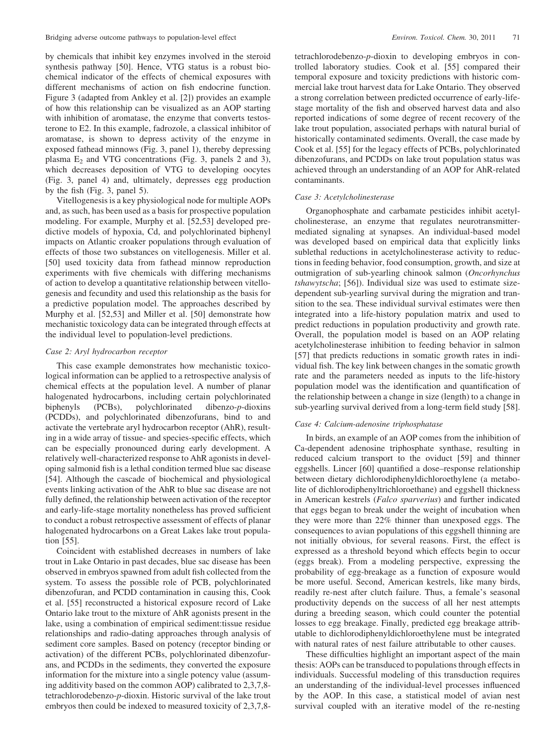by chemicals that inhibit key enzymes involved in the steroid synthesis pathway [50]. Hence, VTG status is a robust biochemical indicator of the effects of chemical exposures with different mechanisms of action on fish endocrine function. Figure 3 (adapted from Ankley et al. [2]) provides an example of how this relationship can be visualized as an AOP starting with inhibition of aromatase, the enzyme that converts testosterone to E2. In this example, fadrozole, a classical inhibitor of aromatase, is shown to depress activity of the enzyme in exposed fathead minnows (Fig. 3, panel 1), thereby depressing plasma  $E_2$  and VTG concentrations (Fig. 3, panels 2 and 3), which decreases deposition of VTG to developing oocytes (Fig. 3, panel 4) and, ultimately, depresses egg production by the fish (Fig. 3, panel 5).

Vitellogenesis is a key physiological node for multiple AOPs and, as such, has been used as a basis for prospective population modeling. For example, Murphy et al. [52,53] developed predictive models of hypoxia, Cd, and polychlorinated biphenyl impacts on Atlantic croaker populations through evaluation of effects of those two substances on vitellogenesis. Miller et al. [50] used toxicity data from fathead minnow reproduction experiments with five chemicals with differing mechanisms of action to develop a quantitative relationship between vitellogenesis and fecundity and used this relationship as the basis for a predictive population model. The approaches described by Murphy et al. [52,53] and Miller et al. [50] demonstrate how mechanistic toxicology data can be integrated through effects at the individual level to population-level predictions.

#### Case 2: Aryl hydrocarbon receptor

This case example demonstrates how mechanistic toxicological information can be applied to a retrospective analysis of chemical effects at the population level. A number of planar halogenated hydrocarbons, including certain polychlorinated biphenyls (PCBs), polychlorinated dibenzo-p-dioxins (PCDDs), and polychlorinated dibenzofurans, bind to and activate the vertebrate aryl hydrocarbon receptor (AhR), resulting in a wide array of tissue- and species-specific effects, which can be especially pronounced during early development. A relatively well-characterized response to AhR agonists in developing salmonid fish is a lethal condition termed blue sac disease [54]. Although the cascade of biochemical and physiological events linking activation of the AhR to blue sac disease are not fully defined, the relationship between activation of the receptor and early-life-stage mortality nonetheless has proved sufficient to conduct a robust retrospective assessment of effects of planar halogenated hydrocarbons on a Great Lakes lake trout population [55].

Coincident with established decreases in numbers of lake trout in Lake Ontario in past decades, blue sac disease has been observed in embryos spawned from adult fish collected from the system. To assess the possible role of PCB, polychlorinated dibenzofuran, and PCDD contamination in causing this, Cook et al. [55] reconstructed a historical exposure record of Lake Ontario lake trout to the mixture of AhR agonists present in the lake, using a combination of empirical sediment:tissue residue relationships and radio-dating approaches through analysis of sediment core samples. Based on potency (receptor binding or activation) of the different PCBs, polychlorinated dibenzofurans, and PCDDs in the sediments, they converted the exposure information for the mixture into a single potency value (assuming additivity based on the common AOP) calibrated to 2,3,7,8 tetrachlorodebenzo-p-dioxin. Historic survival of the lake trout embryos then could be indexed to measured toxicity of 2,3,7,8tetrachlorodebenzo-p-dioxin to developing embryos in controlled laboratory studies. Cook et al. [55] compared their temporal exposure and toxicity predictions with historic commercial lake trout harvest data for Lake Ontario. They observed a strong correlation between predicted occurrence of early-lifestage mortality of the fish and observed harvest data and also reported indications of some degree of recent recovery of the lake trout population, associated perhaps with natural burial of historically contaminated sediments. Overall, the case made by Cook et al. [55] for the legacy effects of PCBs, polychlorinated dibenzofurans, and PCDDs on lake trout population status was achieved through an understanding of an AOP for AhR-related contaminants.

#### Case 3: Acetylcholinesterase

Organophosphate and carbamate pesticides inhibit acetylcholinesterase, an enzyme that regulates neurotransmittermediated signaling at synapses. An individual-based model was developed based on empirical data that explicitly links sublethal reductions in acetylcholinesterase activity to reductions in feeding behavior, food consumption, growth, and size at outmigration of sub-yearling chinook salmon (Oncorhynchus tshawytscha; [56]). Individual size was used to estimate sizedependent sub-yearling survival during the migration and transition to the sea. These individual survival estimates were then integrated into a life-history population matrix and used to predict reductions in population productivity and growth rate. Overall, the population model is based on an AOP relating acetylcholinesterase inhibition to feeding behavior in salmon [57] that predicts reductions in somatic growth rates in individual fish. The key link between changes in the somatic growth rate and the parameters needed as inputs to the life-history population model was the identification and quantification of the relationship between a change in size (length) to a change in sub-yearling survival derived from a long-term field study [58].

#### Case 4: Calcium-adenosine triphosphatase

In birds, an example of an AOP comes from the inhibition of Ca-dependent adenosine triphosphate synthase, resulting in reduced calcium transport to the oviduct [59] and thinner eggshells. Lincer [60] quantified a dose–response relationship between dietary dichlorodiphenyldichloroethylene (a metabolite of dichlorodiphenyltrichloroethane) and eggshell thickness in American kestrels (Falco sparverius) and further indicated that eggs began to break under the weight of incubation when they were more than 22% thinner than unexposed eggs. The consequences to avian populations of this eggshell thinning are not initially obvious, for several reasons. First, the effect is expressed as a threshold beyond which effects begin to occur (eggs break). From a modeling perspective, expressing the probability of egg-breakage as a function of exposure would be more useful. Second, American kestrels, like many birds, readily re-nest after clutch failure. Thus, a female's seasonal productivity depends on the success of all her nest attempts during a breeding season, which could counter the potential losses to egg breakage. Finally, predicted egg breakage attributable to dichlorodiphenyldichloroethylene must be integrated with natural rates of nest failure attributable to other causes.

These difficulties highlight an important aspect of the main thesis: AOPs can be transduced to populations through effects in individuals. Successful modeling of this transduction requires an understanding of the individual-level processes influenced by the AOP. In this case, a statistical model of avian nest survival coupled with an iterative model of the re-nesting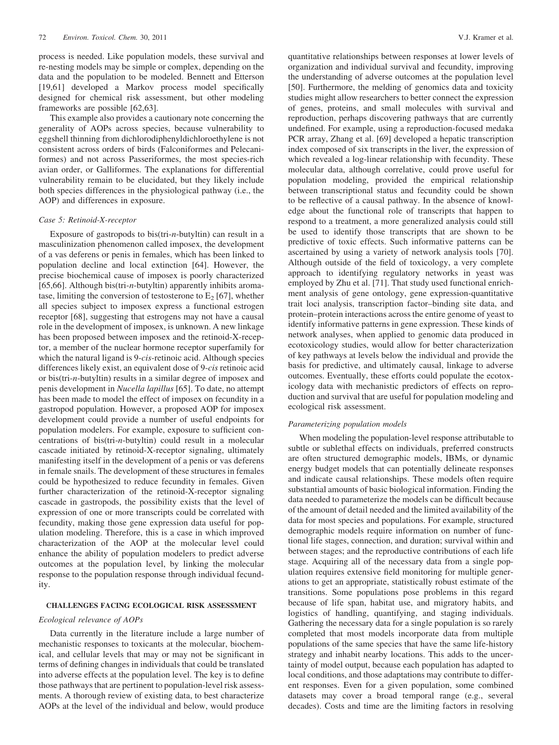process is needed. Like population models, these survival and re-nesting models may be simple or complex, depending on the data and the population to be modeled. Bennett and Etterson [19,61] developed a Markov process model specifically designed for chemical risk assessment, but other modeling frameworks are possible [62,63].

This example also provides a cautionary note concerning the generality of AOPs across species, because vulnerability to eggshell thinning from dichlorodiphenyldichloroethylene is not consistent across orders of birds (Falconiformes and Pelecaniformes) and not across Passeriformes, the most species-rich avian order, or Galliformes. The explanations for differential vulnerability remain to be elucidated, but they likely include both species differences in the physiological pathway (i.e., the AOP) and differences in exposure.

#### Case 5: Retinoid-X-receptor

Exposure of gastropods to  $bis(tri-n-butyltin)$  can result in a masculinization phenomenon called imposex, the development of a vas deferens or penis in females, which has been linked to population decline and local extinction [64]. However, the precise biochemical cause of imposex is poorly characterized [65,66]. Although bis(tri-*n*-butyltin) apparently inhibits aromatase, limiting the conversion of testosterone to  $E_2$  [67], whether all species subject to imposex express a functional estrogen receptor [68], suggesting that estrogens may not have a causal role in the development of imposex, is unknown. A new linkage has been proposed between imposex and the retinoid-X-receptor, a member of the nuclear hormone receptor superfamily for which the natural ligand is 9-cis-retinoic acid. Although species differences likely exist, an equivalent dose of 9-cis retinoic acid or bis(tri-n-butyltin) results in a similar degree of imposex and penis development in Nucella lapillus [65]. To date, no attempt has been made to model the effect of imposex on fecundity in a gastropod population. However, a proposed AOP for imposex development could provide a number of useful endpoints for population modelers. For example, exposure to sufficient concentrations of bis(tri-n-butyltin) could result in a molecular cascade initiated by retinoid-X-receptor signaling, ultimately manifesting itself in the development of a penis or vas deferens in female snails. The development of these structures in females could be hypothesized to reduce fecundity in females. Given further characterization of the retinoid-X-receptor signaling cascade in gastropods, the possibility exists that the level of expression of one or more transcripts could be correlated with fecundity, making those gene expression data useful for population modeling. Therefore, this is a case in which improved characterization of the AOP at the molecular level could enhance the ability of population modelers to predict adverse outcomes at the population level, by linking the molecular response to the population response through individual fecundity.

#### CHALLENGES FACING ECOLOGICAL RISK ASSESSMENT

#### Ecological relevance of AOPs

Data currently in the literature include a large number of mechanistic responses to toxicants at the molecular, biochemical, and cellular levels that may or may not be significant in terms of defining changes in individuals that could be translated into adverse effects at the population level. The key is to define those pathways that are pertinent to population-level risk assessments. A thorough review of existing data, to best characterize AOPs at the level of the individual and below, would produce

quantitative relationships between responses at lower levels of organization and individual survival and fecundity, improving the understanding of adverse outcomes at the population level [50]. Furthermore, the melding of genomics data and toxicity studies might allow researchers to better connect the expression of genes, proteins, and small molecules with survival and reproduction, perhaps discovering pathways that are currently undefined. For example, using a reproduction-focused medaka PCR array, Zhang et al. [69] developed a hepatic transcription index composed of six transcripts in the liver, the expression of which revealed a log-linear relationship with fecundity. These molecular data, although correlative, could prove useful for population modeling, provided the empirical relationship between transcriptional status and fecundity could be shown to be reflective of a causal pathway. In the absence of knowledge about the functional role of transcripts that happen to respond to a treatment, a more generalized analysis could still be used to identify those transcripts that are shown to be predictive of toxic effects. Such informative patterns can be ascertained by using a variety of network analysis tools [70]. Although outside of the field of toxicology, a very complete approach to identifying regulatory networks in yeast was employed by Zhu et al. [71]. That study used functional enrichment analysis of gene ontology, gene expression-quantitative trait loci analysis, transcription factor–binding site data, and protein–protein interactions across the entire genome of yeast to identify informative patterns in gene expression. These kinds of network analyses, when applied to genomic data produced in ecotoxicology studies, would allow for better characterization of key pathways at levels below the individual and provide the basis for predictive, and ultimately causal, linkage to adverse outcomes. Eventually, these efforts could populate the ecotoxicology data with mechanistic predictors of effects on reproduction and survival that are useful for population modeling and ecological risk assessment.

#### Parameterizing population models

When modeling the population-level response attributable to subtle or sublethal effects on individuals, preferred constructs are often structured demographic models, IBMs, or dynamic energy budget models that can potentially delineate responses and indicate causal relationships. These models often require substantial amounts of basic biological information. Finding the data needed to parameterize the models can be difficult because of the amount of detail needed and the limited availability of the data for most species and populations. For example, structured demographic models require information on number of functional life stages, connection, and duration; survival within and between stages; and the reproductive contributions of each life stage. Acquiring all of the necessary data from a single population requires extensive field monitoring for multiple generations to get an appropriate, statistically robust estimate of the transitions. Some populations pose problems in this regard because of life span, habitat use, and migratory habits, and logistics of handling, quantifying, and staging individuals. Gathering the necessary data for a single population is so rarely completed that most models incorporate data from multiple populations of the same species that have the same life-history strategy and inhabit nearby locations. This adds to the uncertainty of model output, because each population has adapted to local conditions, and those adaptations may contribute to different responses. Even for a given population, some combined datasets may cover a broad temporal range (e.g., several decades). Costs and time are the limiting factors in resolving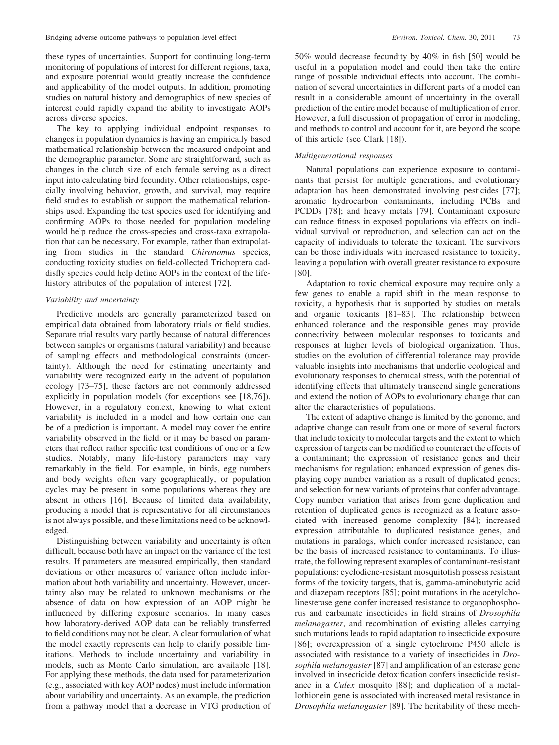these types of uncertainties. Support for continuing long-term monitoring of populations of interest for different regions, taxa, and exposure potential would greatly increase the confidence and applicability of the model outputs. In addition, promoting studies on natural history and demographics of new species of interest could rapidly expand the ability to investigate AOPs across diverse species.

The key to applying individual endpoint responses to changes in population dynamics is having an empirically based mathematical relationship between the measured endpoint and the demographic parameter. Some are straightforward, such as changes in the clutch size of each female serving as a direct input into calculating bird fecundity. Other relationships, especially involving behavior, growth, and survival, may require field studies to establish or support the mathematical relationships used. Expanding the test species used for identifying and confirming AOPs to those needed for population modeling would help reduce the cross-species and cross-taxa extrapolation that can be necessary. For example, rather than extrapolating from studies in the standard Chironomus species, conducting toxicity studies on field-collected Trichoptera caddisfly species could help define AOPs in the context of the lifehistory attributes of the population of interest [72].

#### Variability and uncertainty

Predictive models are generally parameterized based on empirical data obtained from laboratory trials or field studies. Separate trial results vary partly because of natural differences between samples or organisms (natural variability) and because of sampling effects and methodological constraints (uncertainty). Although the need for estimating uncertainty and variability were recognized early in the advent of population ecology [73–75], these factors are not commonly addressed explicitly in population models (for exceptions see [18,76]). However, in a regulatory context, knowing to what extent variability is included in a model and how certain one can be of a prediction is important. A model may cover the entire variability observed in the field, or it may be based on parameters that reflect rather specific test conditions of one or a few studies. Notably, many life-history parameters may vary remarkably in the field. For example, in birds, egg numbers and body weights often vary geographically, or population cycles may be present in some populations whereas they are absent in others [16]. Because of limited data availability, producing a model that is representative for all circumstances is not always possible, and these limitations need to be acknowledged.

Distinguishing between variability and uncertainty is often difficult, because both have an impact on the variance of the test results. If parameters are measured empirically, then standard deviations or other measures of variance often include information about both variability and uncertainty. However, uncertainty also may be related to unknown mechanisms or the absence of data on how expression of an AOP might be influenced by differing exposure scenarios. In many cases how laboratory-derived AOP data can be reliably transferred to field conditions may not be clear. A clear formulation of what the model exactly represents can help to clarify possible limitations. Methods to include uncertainty and variability in models, such as Monte Carlo simulation, are available [18]. For applying these methods, the data used for parameterization (e.g., associated with key AOP nodes) must include information about variability and uncertainty. As an example, the prediction from a pathway model that a decrease in VTG production of 50% would decrease fecundity by 40% in fish [50] would be useful in a population model and could then take the entire range of possible individual effects into account. The combination of several uncertainties in different parts of a model can result in a considerable amount of uncertainty in the overall prediction of the entire model because of multiplication of error. However, a full discussion of propagation of error in modeling, and methods to control and account for it, are beyond the scope of this article (see Clark [18]).

#### Multigenerational responses

Natural populations can experience exposure to contaminants that persist for multiple generations, and evolutionary adaptation has been demonstrated involving pesticides [77]; aromatic hydrocarbon contaminants, including PCBs and PCDDs [78]; and heavy metals [79]. Contaminant exposure can reduce fitness in exposed populations via effects on individual survival or reproduction, and selection can act on the capacity of individuals to tolerate the toxicant. The survivors can be those individuals with increased resistance to toxicity, leaving a population with overall greater resistance to exposure [80].

Adaptation to toxic chemical exposure may require only a few genes to enable a rapid shift in the mean response to toxicity, a hypothesis that is supported by studies on metals and organic toxicants [81–83]. The relationship between enhanced tolerance and the responsible genes may provide connectivity between molecular responses to toxicants and responses at higher levels of biological organization. Thus, studies on the evolution of differential tolerance may provide valuable insights into mechanisms that underlie ecological and evolutionary responses to chemical stress, with the potential of identifying effects that ultimately transcend single generations and extend the notion of AOPs to evolutionary change that can alter the characteristics of populations.

The extent of adaptive change is limited by the genome, and adaptive change can result from one or more of several factors that include toxicity to molecular targets and the extent to which expression of targets can be modified to counteract the effects of a contaminant; the expression of resistance genes and their mechanisms for regulation; enhanced expression of genes displaying copy number variation as a result of duplicated genes; and selection for new variants of proteins that confer advantage. Copy number variation that arises from gene duplication and retention of duplicated genes is recognized as a feature associated with increased genome complexity [84]; increased expression attributable to duplicated resistance genes, and mutations in paralogs, which confer increased resistance, can be the basis of increased resistance to contaminants. To illustrate, the following represent examples of contaminant-resistant populations: cyclodiene-resistant mosquitofish possess resistant forms of the toxicity targets, that is, gamma-aminobutyric acid and diazepam receptors [85]; point mutations in the acetylcholinesterase gene confer increased resistance to organophosphorus and carbamate insecticides in field strains of Drosophila melanogaster, and recombination of existing alleles carrying such mutations leads to rapid adaptation to insecticide exposure [86]; overexpression of a single cytochrome P450 allele is associated with resistance to a variety of insecticides in Drosophila melanogaster [87] and amplification of an esterase gene involved in insecticide detoxification confers insecticide resistance in a Culex mosquito [88]; and duplication of a metallothionein gene is associated with increased metal resistance in Drosophila melanogaster [89]. The heritability of these mech-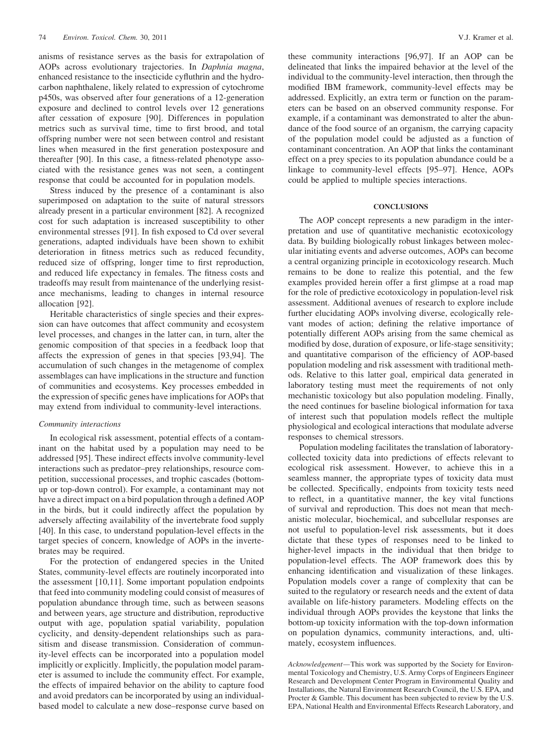anisms of resistance serves as the basis for extrapolation of AOPs across evolutionary trajectories. In Daphnia magna, enhanced resistance to the insecticide cyfluthrin and the hydrocarbon naphthalene, likely related to expression of cytochrome p450s, was observed after four generations of a 12-generation exposure and declined to control levels over 12 generations after cessation of exposure [90]. Differences in population metrics such as survival time, time to first brood, and total offspring number were not seen between control and resistant lines when measured in the first generation postexposure and thereafter [90]. In this case, a fitness-related phenotype associated with the resistance genes was not seen, a contingent response that could be accounted for in population models.

Stress induced by the presence of a contaminant is also superimposed on adaptation to the suite of natural stressors already present in a particular environment [82]. A recognized cost for such adaptation is increased susceptibility to other environmental stresses [91]. In fish exposed to Cd over several generations, adapted individuals have been shown to exhibit deterioration in fitness metrics such as reduced fecundity, reduced size of offspring, longer time to first reproduction, and reduced life expectancy in females. The fitness costs and tradeoffs may result from maintenance of the underlying resistance mechanisms, leading to changes in internal resource allocation [92].

Heritable characteristics of single species and their expression can have outcomes that affect community and ecosystem level processes, and changes in the latter can, in turn, alter the genomic composition of that species in a feedback loop that affects the expression of genes in that species [93,94]. The accumulation of such changes in the metagenome of complex assemblages can have implications in the structure and function of communities and ecosystems. Key processes embedded in the expression of specific genes have implications for AOPs that may extend from individual to community-level interactions.

#### Community interactions

In ecological risk assessment, potential effects of a contaminant on the habitat used by a population may need to be addressed [95]. These indirect effects involve community-level interactions such as predator–prey relationships, resource competition, successional processes, and trophic cascades (bottomup or top-down control). For example, a contaminant may not have a direct impact on a bird population through a defined AOP in the birds, but it could indirectly affect the population by adversely affecting availability of the invertebrate food supply [40]. In this case, to understand population-level effects in the target species of concern, knowledge of AOPs in the invertebrates may be required.

For the protection of endangered species in the United States, community-level effects are routinely incorporated into the assessment [10,11]. Some important population endpoints that feed into community modeling could consist of measures of population abundance through time, such as between seasons and between years, age structure and distribution, reproductive output with age, population spatial variability, population cyclicity, and density-dependent relationships such as parasitism and disease transmission. Consideration of community-level effects can be incorporated into a population model implicitly or explicitly. Implicitly, the population model parameter is assumed to include the community effect. For example, the effects of impaired behavior on the ability to capture food and avoid predators can be incorporated by using an individualbased model to calculate a new dose–response curve based on

these community interactions [96,97]. If an AOP can be delineated that links the impaired behavior at the level of the individual to the community-level interaction, then through the modified IBM framework, community-level effects may be addressed. Explicitly, an extra term or function on the parameters can be based on an observed community response. For example, if a contaminant was demonstrated to alter the abundance of the food source of an organism, the carrying capacity of the population model could be adjusted as a function of contaminant concentration. An AOP that links the contaminant effect on a prey species to its population abundance could be a linkage to community-level effects [95–97]. Hence, AOPs could be applied to multiple species interactions.

#### **CONCLUSIONS**

The AOP concept represents a new paradigm in the interpretation and use of quantitative mechanistic ecotoxicology data. By building biologically robust linkages between molecular initiating events and adverse outcomes, AOPs can become a central organizing principle in ecotoxicology research. Much remains to be done to realize this potential, and the few examples provided herein offer a first glimpse at a road map for the role of predictive ecotoxicology in population-level risk assessment. Additional avenues of research to explore include further elucidating AOPs involving diverse, ecologically relevant modes of action; defining the relative importance of potentially different AOPs arising from the same chemical as modified by dose, duration of exposure, or life-stage sensitivity; and quantitative comparison of the efficiency of AOP-based population modeling and risk assessment with traditional methods. Relative to this latter goal, empirical data generated in laboratory testing must meet the requirements of not only mechanistic toxicology but also population modeling. Finally, the need continues for baseline biological information for taxa of interest such that population models reflect the multiple physiological and ecological interactions that modulate adverse responses to chemical stressors.

Population modeling facilitates the translation of laboratorycollected toxicity data into predictions of effects relevant to ecological risk assessment. However, to achieve this in a seamless manner, the appropriate types of toxicity data must be collected. Specifically, endpoints from toxicity tests need to reflect, in a quantitative manner, the key vital functions of survival and reproduction. This does not mean that mechanistic molecular, biochemical, and subcellular responses are not useful to population-level risk assessments, but it does dictate that these types of responses need to be linked to higher-level impacts in the individual that then bridge to population-level effects. The AOP framework does this by enhancing identification and visualization of these linkages. Population models cover a range of complexity that can be suited to the regulatory or research needs and the extent of data available on life-history parameters. Modeling effects on the individual through AOPs provides the keystone that links the bottom-up toxicity information with the top-down information on population dynamics, community interactions, and, ultimately, ecosystem influences.

Acknowledgement—This work was supported by the Society for Environmental Toxicology and Chemistry, U.S. Army Corps of Engineers Engineer Research and Development Center Program in Environmental Quality and Installations, the Natural Environment Research Council, the U.S. EPA, and Procter & Gamble. This document has been subjected to review by the U.S. EPA, National Health and Environmental Effects Research Laboratory, and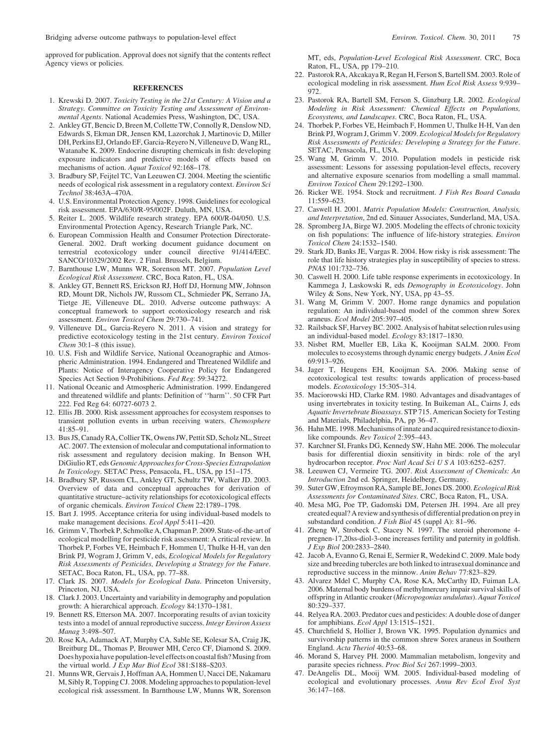Bridging adverse outcome pathways to population-level effect Environers Environ. Toxicol. Chem. 30, 2011 75

approved for publication. Approval does not signify that the contents reflect Agency views or policies.

#### **REFERENCES**

- 1. Krewski D. 2007. Toxicity Testing in the 21st Century: A Vision and a Strategy. Committee on Toxicity Testing and Assessment of Environmental Agents. National Academies Press, Washington, DC, USA.
- 2. Ankley GT, Bencic D, Breen M, Collette TW, Connolly R, Denslow ND, Edwards S, Ekman DR, Jensen KM, Lazorchak J, Martinovic D, Miller DH, Perkins EJ, Orlando EF, Garcia-Reyero N, Villeneuve D, Wang RL, Watanabe K. 2009. Endocrine disrupting chemicals in fish: developing exposure indicators and predictive models of effects based on mechanisms of action. Aquat Toxicol 92:168–178.
- 3. Bradbury SP, Feijtel TC, Van Leeuwen CJ. 2004. Meeting the scientific needs of ecological risk assessment in a regulatory context. Environ Sci Technol 38:463A–470A.
- 4. U.S. Environmental Protection Agency. 1998. Guidelines for ecological risk assessment. EPA/630/R-95/002F. Duluth, MN, USA.
- 5. Reiter L. 2005. Wildlife research strategy. EPA 600/R-04/050. U.S. Environmental Protection Agency, Research Triangle Park, NC.
- 6. European Commission Health and Consumer Protection Directorate-General. 2002. Draft working document guidance document on terrestrial ecotoxicology under council directive 91/414/EEC. SANCO/10329/2002 Rev. 2 Final. Brussels, Belgium.
- 7. Barnthouse LW, Munns WR, Sorenson MT. 2007. Population Level Ecological Risk Assessment. CRC, Boca Raton, FL, USA.
- 8. Ankley GT, Bennett RS, Erickson RJ, Hoff DJ, Hornung MW, Johnson RD, Mount DR, Nichols JW, Russom CL, Schmieder PK, Serrano JA, Tietge JE, Villeneuve DL. 2010. Adverse outcome pathways: A conceptual framework to support ecotoxicology research and risk assessment. Environ Toxicol Chem 29:730–741.
- 9. Villeneuve DL, Garcia-Reyero N. 2011. A vision and strategy for predictive ecotoxicology testing in the 21st century. Environ Toxicol Chem 30:1–8 (this issue).
- 10. U.S. Fish and Wildlife Service, National Oceanographic and Atmospheric Administration. 1994. Endangered and Threatened Wildlife and Plants: Notice of Interagency Cooperative Policy for Endangered Species Act Section 9-Prohibitions. Fed Reg: 59:34272.
- 11. National Oceanic and Atmospheric Administration. 1999. Endangered and threatened wildlife and plants: Definition of ''harm''. 50 CFR Part 222. Fed Reg 64: 60727-6073 2.
- 12. Ellis JB. 2000. Risk assessment approaches for ecosystem responses to transient pollution events in urban receiving waters. Chemosphere 41:85–91.
- 13. Bus JS, Canady RA, Collier TK, Owens JW, Pettit SD, Scholz NL, Street AC. 2007. The extension of molecular and computational information to risk assessment and regulatory decision making. In Benson WH, DiGiulio RT, eds Genomic Approaches for Cross-Species Extrapolation In Toxicology. SETAC Press, Pensacola, FL, USA, pp 151–175.
- 14. Bradbury SP, Russom CL, Ankley GT, Schultz TW, Walker JD. 2003. Overview of data and conceptual approaches for derivation of quantitative structure–activity relationships for ecotoxicological effects of organic chemicals. Environ Toxicol Chem 22:1789–1798.
- 15. Bart J. 1995. Acceptance criteria for using individual-based models to make management decisions. Ecol Appl 5:411–420.
- 16. Grimm V, Thorbek P, Schmolke A, Chapman P. 2009. State-of-the-art of ecological modelling for pesticide risk assessment: A critical review. In Thorbek P, Forbes VE, Heimbach F, Hommen U, Thulke H-H, van den Brink PJ, Wogram J, Grimm V, eds, Ecological Models for Regulatory Risk Assessments of Pesticides, Developing a Strategy for the Future. SETAC, Boca Raton, FL, USA, pp. 77–88.
- 17. Clark JS. 2007. Models for Ecological Data. Princeton University, Princeton, NJ, USA.
- 18. Clark J. 2003. Uncertainty and variability in demography and population growth: A hierarchical approach. Ecology 84:1370–1381.
- 19. Bennett RS, Etterson MA. 2007. Incorporating results of avian toxicity tests into a model of annual reproductive success. Integr Environ Assess Manag 3:498–507.
- 20. Rose KA, Adamack AT, Murphy CA, Sable SE, Kolesar SA, Craig JK, Breitburg DL, Thomas P, Brouwer MH, Cerco CF, Diamond S. 2009. Does hypoxia have population-level effects on coastal fish? Musing from the virtual world. J Exp Mar Biol Ecol 381:S188-S203.
- 21. Munns WR, Gervais J, Hoffman AA, Hommen U, Nacci DE, Nakamaru M, Sibly R, Topping CJ. 2008. Modeling approaches to population-level ecological risk assessment. In Barnthouse LW, Munns WR, Sorenson

MT, eds, Population-Level Ecological Risk Assessment. CRC, Boca Raton, FL, USA, pp 179–210.

- 22. Pastorok RA, Akcakaya R, Regan H, Ferson S, Bartell SM. 2003. Role of ecological modeling in risk assessment. Hum Ecol Risk Assess 9:939– 972.
- 23. Pastorok RA, Bartell SM, Ferson S, Ginzburg LR. 2002. Ecological Modeling in Risk Assessment: Chemical Effects on Populations, Ecosystems, and Landscapes. CRC, Boca Raton, FL, USA.
- 24. Thorbek P, Forbes VE, Heimbach F, Hommen U, Thulke H-H, Van den Brink PJ, Wogram J, Grimm V. 2009. Ecological Models for Regulatory Risk Assessments of Pesticides: Developing a Strategy for the Future. SETAC, Pensacola, FL, USA.
- 25. Wang M, Grimm V. 2010. Population models in pesticide risk assessment: Lessons for assessing population-level effects, recovery and alternative exposure scenarios from modelling a small mammal. Environ Toxicol Chem 29:1292–1300.
- 26. Ricker WE. 1954. Stock and recruitment. J Fish Res Board Canada 11:559–623.
- 27. Caswell H. 2001. Matrix Population Models: Construction, Analysis, and Interpretation, 2nd ed. Sinauer Associates, Sunderland, MA, USA.
- 28. Spromberg JA, Birge WJ. 2005. Modeling the effects of chronic toxicity on fish populations: The influence of life-history strategies. Environ Toxicol Chem 24:1532–1540.
- 29. Stark JD, Banks JE, Vargas R. 2004. How risky is risk assessment: The role that life history strategies play in susceptibility of species to stress. PNAS 101:732–736.
- 30. Caswell H. 2000. Life table response experiments in ecotoxicology. In Kammega J, Laskowski R, eds Demography in Ecotoxicology. John Wiley & Sons, New York, NY, USA, pp 43–55.
- 31. Wang M, Grimm V. 2007. Home range dynamics and population regulation: An individual-based model of the common shrew Sorex araneus. Ecol Model 205:397–405.
- 32. Railsback SF, Harvey BC. 2002. Analysis of habitat selection rules using an individual-based model. Ecology 83:1817–1830.
- 33. Nisbet RM, Mueller EB, Lika K, Kooijman SALM. 2000. From molecules to ecosystems through dynamic energy budgets. J Anim Ecol 69:913–926.
- 34. Jager T, Heugens EH, Kooijman SA. 2006. Making sense of ecotoxicological test results: towards application of process-based models. Ecotoxicology 15:305–314.
- 35. Maciorowski HD, Clarke RM. 1980. Advantages and disadvantages of using invertebrates in toxicity testing. In Buikeman AL, Cairns J, eds Aquatic Invertebrate Bioassays. STP 715. American Society for Testing and Materials, Philadelphia, PA, pp 36–47.
- 36. Hahn ME. 1998. Mechanisms of innate and acquired resistance to dioxinlike compounds. Rev Toxicol 2:395–443.
- 37. Karchner SI, Franks DG, Kennedy SW, Hahn ME. 2006. The molecular basis for differential dioxin sensitivity in birds: role of the aryl hydrocarbon receptor. Proc Natl Acad Sci U S A 103:6252–6257.
- 38. Leeuwen CJ, Vermeire TG. 2007. Risk Assessment of Chemicals: An Introduction 2nd ed. Springer, Heidelberg, Germany.
- 39. Suter GW, Efroymson RA, Sample BE, Jones DS. 2000. Ecological Risk Assessments for Contaminated Sites. CRC, Boca Raton, FL, USA.
- 40. Mesa MG, Poe TP, Gadomski DM, Petersen JH. 1994. Are all prey created equal? A review and synthesis of differential predation on prey in substandard condition. *J Fish Biol* 45 (suppl A): 81-96.
- 41. Zheng W, Strobeck C, Stacey N. 1997. The steroid pheromone 4 pregnen-17,20ss-diol-3-one increases fertility and paternity in goldfish. J Exp Biol 200:2833–2840.
- 42. Jacob A, Evanno G, Renai E, Sermier R, Wedekind C. 2009. Male body size and breeding tubercles are both linked to intrasexual dominance and reproductive success in the minnow. Anim Behav 77:823–829.
- 43. Alvarez Mdel C, Murphy CA, Rose KA, McCarthy ID, Fuiman LA. 2006. Maternal body burdens of methylmercury impair survival skills of offspring in Atlantic croaker (Micropogonias undulatus). Aquat Toxicol 80:329–337.
- 44. Relyea RA. 2003. Predator cues and pesticides: A double dose of danger for amphibians. Ecol Appl 13:1515–1521.
- 45. Churchfield S, Hollier J, Brown VK. 1995. Population dynamics and survivorship patterns in the common shrew Sorex araneus in Southern England. Acta Theriol 40:53–68.
- 46. Morand S, Harvey PH. 2000. Mammalian metabolism, longevity and parasite species richness. Proc Biol Sci 267:1999–2003.
- 47. DeAngelis DL, Mooij WM. 2005. Individual-based modeling of ecological and evolutionary processes. Annu Rev Ecol Evol Syst 36:147–168.